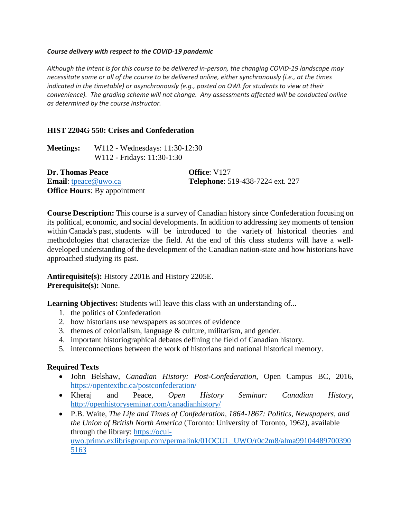#### *Course delivery with respect to the COVID-19 pandemic*

*Although the intent is for this course to be delivered in-person, the changing COVID-19 landscape may necessitate some or all of the course to be delivered online, either synchronously (i.e., at the times indicated in the timetable) or asynchronously (e.g., posted on OWL for students to view at their convenience). The grading scheme will not change. Any assessments affected will be conducted online as determined by the course instructor.*

## **HIST 2204G 550: Crises and Confederation**

| <b>Meetings:</b>                   | W112 - Wednesdays: 11:30-12:30      |                                  |
|------------------------------------|-------------------------------------|----------------------------------|
|                                    | W112 - Fridays: 11:30-1:30          |                                  |
| Dr. Thomas Peace                   |                                     | <b>Office:</b> V127              |
| <b>Email:</b> $t$ peace $@$ uwo.ca |                                     | Telephone: 519-438-7224 ext. 227 |
|                                    | <b>Office Hours:</b> By appointment |                                  |

**Course Description:** This course is a survey of Canadian history since Confederation focusing on its political, economic, and social developments. In addition to addressing key moments of tension within Canada's past, students will be introduced to the variety of historical theories and methodologies that characterize the field. At the end of this class students will have a welldeveloped understanding of the development of the Canadian nation-state and how historians have approached studying its past.

**Antirequisite(s):** [History 2201E](http://www.westerncalendar.uwo.ca/Courses.cfm?CourseAcadCalendarID=HURON_004488_3&SelectedCalendar=Live&ArchiveID=) and [History 2205E.](http://www.westerncalendar.uwo.ca/Courses.cfm?CourseAcadCalendarID=BRESC_002429_2&SelectedCalendar=Live&ArchiveID=) **Prerequisite(s):** None.

**Learning Objectives:** Students will leave this class with an understanding of...

- 1. the politics of Confederation
- 2. how historians use newspapers as sources of evidence
- 3. themes of colonialism, language & culture, militarism, and gender.
- 4. important historiographical debates defining the field of Canadian history.
- 5. interconnections between the work of historians and national historical memory.

## **Required Texts**

- John Belshaw, *Canadian History: Post-Confederation*, Open Campus BC, 2016, <https://opentextbc.ca/postconfederation/>
- Kheraj and Peace, *Open History Seminar: Canadian History*, <http://openhistoryseminar.com/canadianhistory/>
- P.B. Waite, *The Life and Times of Confederation, 1864-1867: Politics, Newspapers, and the Union of British North America* (Toronto: University of Toronto, 1962), available through the library: [https://ocul](https://ocul-uwo.primo.exlibrisgroup.com/permalink/01OCUL_UWO/r0c2m8/alma991044897003905163)[uwo.primo.exlibrisgroup.com/permalink/01OCUL\\_UWO/r0c2m8/alma99104489700390](https://ocul-uwo.primo.exlibrisgroup.com/permalink/01OCUL_UWO/r0c2m8/alma991044897003905163) [5163](https://ocul-uwo.primo.exlibrisgroup.com/permalink/01OCUL_UWO/r0c2m8/alma991044897003905163)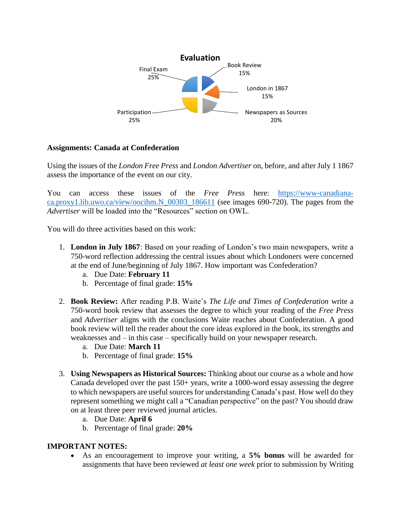

## **Assignments: Canada at Confederation**

Using the issues of the *London Free Press* and *London Advertiser* on, before, and after July 1 1867 assess the importance of the event on our city.

You can access these issues of the *Free Press* here: [https://www-canadiana](https://www-canadiana-ca.proxy1.lib.uwo.ca/view/oocihm.N_00303_186611)[ca.proxy1.lib.uwo.ca/view/oocihm.N\\_00303\\_186611](https://www-canadiana-ca.proxy1.lib.uwo.ca/view/oocihm.N_00303_186611) (see images 690-720). The pages from the *Advertiser* will be loaded into the "Resources" section on OWL.

You will do three activities based on this work:

- 1. **London in July 1867**: Based on your reading of London's two main newspapers, write a 750-word reflection addressing the central issues about which Londoners were concerned at the end of June/beginning of July 1867. How important was Confederation?
	- a. Due Date: **February 11**
	- b. Percentage of final grade: **15%**
- 2. **Book Review:** After reading P.B. Waite's *The Life and Times of Confederation* write a 750-word book review that assesses the degree to which your reading of the *Free Press*  and *Advertiser* aligns with the conclusions Waite reaches about Confederation. A good book review will tell the reader about the core ideas explored in the book, its strengths and weaknesses and – in this case – specifically build on your newspaper research.
	- a. Due Date: **March 11**
	- b. Percentage of final grade: **15%**
- 3. **Using Newspapers as Historical Sources:** Thinking about our course as a whole and how Canada developed over the past 150+ years, write a 1000-word essay assessing the degree to which newspapers are useful sources for understanding Canada's past. How well do they represent something we might call a "Canadian perspective" on the past? You should draw on at least three peer reviewed journal articles.
	- a. Due Date: **April 6**
	- b. Percentage of final grade: **20%**

## **IMPORTANT NOTES:**

 As an encouragement to improve your writing, a **5% bonus** will be awarded for assignments that have been reviewed *at least one week* prior to submission by Writing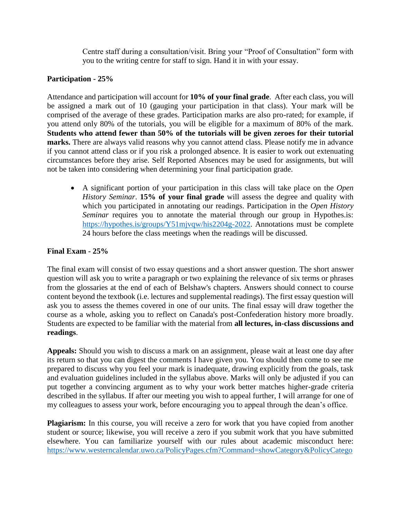Centre staff during a consultation/visit. Bring your "Proof of Consultation" form with you to the writing centre for staff to sign. Hand it in with your essay.

# **Participation - 25%**

Attendance and participation will account for **10% of your final grade**. After each class, you will be assigned a mark out of 10 (gauging your participation in that class). Your mark will be comprised of the average of these grades. Participation marks are also pro-rated; for example, if you attend only 80% of the tutorials, you will be eligible for a maximum of 80% of the mark. **Students who attend fewer than 50% of the tutorials will be given zeroes for their tutorial marks.** There are always valid reasons why you cannot attend class. Please notify me in advance if you cannot attend class or if you risk a prolonged absence. It is easier to work out extenuating circumstances before they arise. Self Reported Absences may be used for assignments, but will not be taken into considering when determining your final participation grade.

 A significant portion of your participation in this class will take place on the *Open History Seminar*. **15% of your final grade** will assess the degree and quality with which you participated in annotating our readings. Participation in the *Open History Seminar* requires you to annotate the material through our group in Hypothes.is: [https://hypothes.is/groups/Y51mjvqw/his2204g-2022.](https://hypothes.is/groups/Y51mjvqw/his2204g-2022) Annotations must be complete 24 hours before the class meetings when the readings will be discussed.

# **Final Exam - 25%**

The final exam will consist of two essay questions and a short answer question. The short answer question will ask you to write a paragraph or two explaining the relevance of six terms or phrases from the glossaries at the end of each of Belshaw's chapters. Answers should connect to course content beyond the textbook (i.e. lectures and supplemental readings). The first essay question will ask you to assess the themes covered in one of our units. The final essay will draw together the course as a whole, asking you to reflect on Canada's post-Confederation history more broadly. Students are expected to be familiar with the material from **all lectures, in-class discussions and readings**.

**Appeals:** Should you wish to discuss a mark on an assignment, please wait at least one day after its return so that you can digest the comments I have given you. You should then come to see me prepared to discuss why you feel your mark is inadequate, drawing explicitly from the goals, task and evaluation guidelines included in the syllabus above. Marks will only be adjusted if you can put together a convincing argument as to why your work better matches higher-grade criteria described in the syllabus. If after our meeting you wish to appeal further, I will arrange for one of my colleagues to assess your work, before encouraging you to appeal through the dean's office.

**Plagiarism:** In this course, you will receive a zero for work that you have copied from another student or source; likewise, you will receive a zero if you submit work that you have submitted elsewhere. You can familiarize yourself with our rules about academic misconduct here: [https://www.westerncalendar.uwo.ca/PolicyPages.cfm?Command=showCategory&PolicyCatego](https://www.westerncalendar.uwo.ca/PolicyPages.cfm?Command=showCategory&PolicyCategoryID=1&SelectedCalendar=Live&ArchiveID=#Page_20)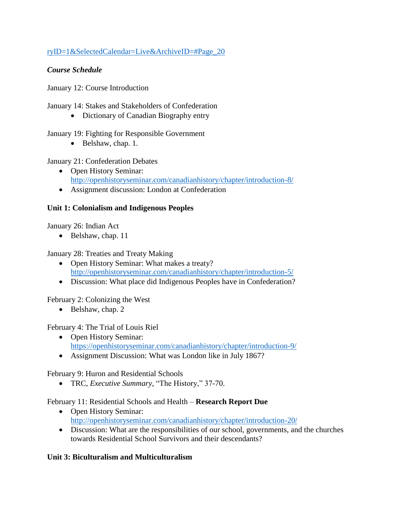# [ryID=1&SelectedCalendar=Live&ArchiveID=#Page\\_20](https://www.westerncalendar.uwo.ca/PolicyPages.cfm?Command=showCategory&PolicyCategoryID=1&SelectedCalendar=Live&ArchiveID=#Page_20)

# *Course Schedule*

January 12: Course Introduction

January 14: Stakes and Stakeholders of Confederation

• Dictionary of Canadian Biography entry

January 19: Fighting for Responsible Government

 $\bullet$  Belshaw, chap. 1.

January 21: Confederation Debates

- Open History Seminar: <http://openhistoryseminar.com/canadianhistory/chapter/introduction-8/>
- Assignment discussion: London at Confederation

# **Unit 1: Colonialism and Indigenous Peoples**

January 26: Indian Act

 $\bullet$  Belshaw, chap. 11

January 28: Treaties and Treaty Making

- Open History Seminar: What makes a treaty? <http://openhistoryseminar.com/canadianhistory/chapter/introduction-5/>
- Discussion: What place did Indigenous Peoples have in Confederation?

February 2: Colonizing the West

 $\bullet$  Belshaw, chap. 2

February 4: The Trial of Louis Riel

- Open History Seminar: <https://openhistoryseminar.com/canadianhistory/chapter/introduction-9/>
- Assignment Discussion: What was London like in July 1867?

February 9: Huron and Residential Schools

TRC, *Executive Summary,* "The History," 37-70.

February 11: Residential Schools and Health – **Research Report Due**

- Open History Seminar: <http://openhistoryseminar.com/canadianhistory/chapter/introduction-20/>
- Discussion: What are the responsibilities of our school, governments, and the churches towards Residential School Survivors and their descendants?

# **Unit 3: Biculturalism and Multiculturalism**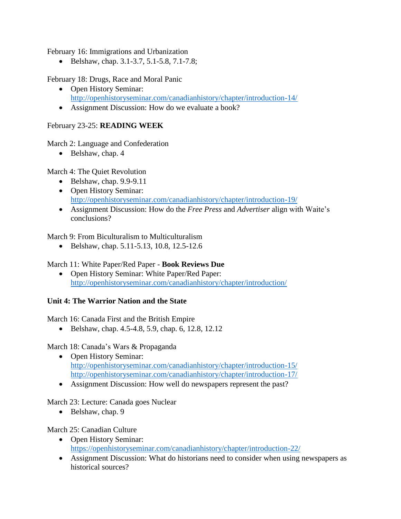February 16: Immigrations and Urbanization

Belshaw, chap. 3.1-3.7, 5.1-5.8, 7.1-7.8;

February 18: Drugs, Race and Moral Panic

- Open History Seminar: <http://openhistoryseminar.com/canadianhistory/chapter/introduction-14/>
- Assignment Discussion: How do we evaluate a book?

# February 23-25: **READING WEEK**

March 2: Language and Confederation

 $\bullet$  Belshaw, chap. 4

March 4: The Quiet Revolution

- $\bullet$  Belshaw, chap. 9.9-9.11
- Open History Seminar: <http://openhistoryseminar.com/canadianhistory/chapter/introduction-19/>
- Assignment Discussion: How do the *Free Press* and *Advertiser* align with Waite's conclusions?

March 9: From Biculturalism to Multiculturalism

Belshaw, chap. 5.11-5.13, 10.8, 12.5-12.6

# March 11: White Paper/Red Paper - **Book Reviews Due**

• Open History Seminar: White Paper/Red Paper: <http://openhistoryseminar.com/canadianhistory/chapter/introduction/>

## **Unit 4: The Warrior Nation and the State**

March 16: Canada First and the British Empire

Belshaw, chap. 4.5-4.8, 5.9, chap. 6, 12.8, 12.12

March 18: Canada's Wars & Propaganda

- Open History Seminar: <http://openhistoryseminar.com/canadianhistory/chapter/introduction-15/> <http://openhistoryseminar.com/canadianhistory/chapter/introduction-17/>
- Assignment Discussion: How well do newspapers represent the past?

## March 23: Lecture: Canada goes Nuclear

 $\bullet$  Belshaw, chap. 9

## March 25: Canadian Culture

- Open History Seminar: <https://openhistoryseminar.com/canadianhistory/chapter/introduction-22/>
- Assignment Discussion: What do historians need to consider when using newspapers as historical sources?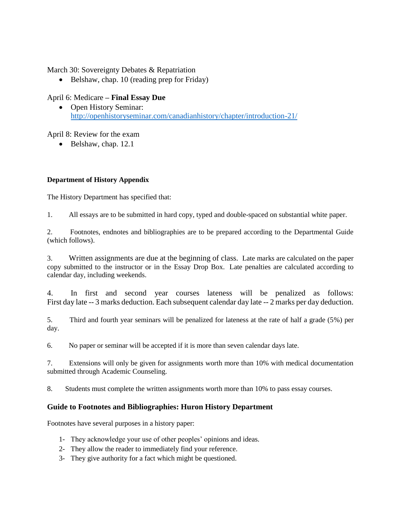March 30: Sovereignty Debates & Repatriation

• Belshaw, chap. 10 (reading prep for Friday)

## April 6: Medicare **– Final Essay Due**

• Open History Seminar: <http://openhistoryseminar.com/canadianhistory/chapter/introduction-21/>

April 8: Review for the exam

• Belshaw, chap. 12.1

## **Department of History Appendix**

The History Department has specified that:

1. All essays are to be submitted in hard copy, typed and double-spaced on substantial white paper.

2. Footnotes, endnotes and bibliographies are to be prepared according to the Departmental Guide (which follows).

3. Written assignments are due at the beginning of class. Late marks are calculated on the paper copy submitted to the instructor or in the Essay Drop Box. Late penalties are calculated according to calendar day, including weekends.

4. In first and second year courses lateness will be penalized as follows: First day late -- 3 marks deduction. Each subsequent calendar day late -- 2 marks per day deduction.

5. Third and fourth year seminars will be penalized for lateness at the rate of half a grade (5%) per day.

6. No paper or seminar will be accepted if it is more than seven calendar days late.

7. Extensions will only be given for assignments worth more than 10% with medical documentation submitted through Academic Counseling.

8. Students must complete the written assignments worth more than 10% to pass essay courses.

## **Guide to Footnotes and Bibliographies: Huron History Department**

Footnotes have several purposes in a history paper:

- 1- They acknowledge your use of other peoples' opinions and ideas.
- 2- They allow the reader to immediately find your reference.
- 3- They give authority for a fact which might be questioned.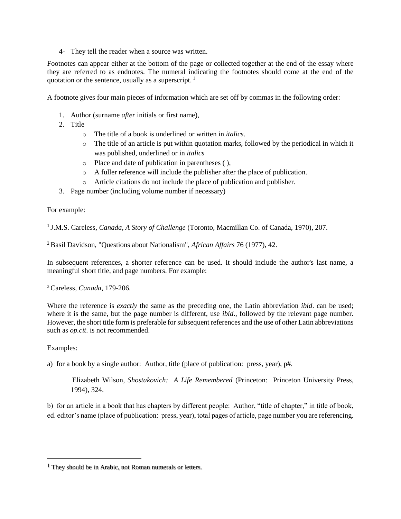4- They tell the reader when a source was written.

Footnotes can appear either at the bottom of the page or collected together at the end of the essay where they are referred to as endnotes. The numeral indicating the footnotes should come at the end of the quotation or the sentence, usually as a superscript. <sup>1</sup>

A footnote gives four main pieces of information which are set off by commas in the following order:

- 1. Author (surname *after* initials or first name),
- 2. Title
	- o The title of a book is underlined or written in *italics*.
	- o The title of an article is put within quotation marks, followed by the periodical in which it was published, underlined or in *italics*
	- o Place and date of publication in parentheses ( ),
	- o A fuller reference will include the publisher after the place of publication.
	- o Article citations do not include the place of publication and publisher.
- 3. Page number (including volume number if necessary)

For example:

1 J.M.S. Careless, *Canada, A Story of Challenge* (Toronto, Macmillan Co. of Canada, 1970), 207.

<sup>2</sup>Basil Davidson, "Questions about Nationalism", *African Affairs* 76 (1977), 42.

In subsequent references, a shorter reference can be used. It should include the author's last name, a meaningful short title, and page numbers. For example:

<sup>3</sup>Careless, *Canada*, 179-206.

Where the reference is *exactly* the same as the preceding one, the Latin abbreviation *ibid*. can be used; where it is the same, but the page number is different, use *ibid*., followed by the relevant page number. However, the short title form is preferable for subsequent references and the use of other Latin abbreviations such as *op.cit*. is not recommended.

Examples:

 $\overline{a}$ 

a) for a book by a single author: Author, title (place of publication: press, year), p#.

Elizabeth Wilson, *Shostakovich: A Life Remembered* (Princeton: Princeton University Press, 1994), 324.

b) for an article in a book that has chapters by different people: Author, "title of chapter," in title of book, ed. editor's name (place of publication: press, year), total pages of article, page number you are referencing.

<sup>1</sup> They should be in Arabic, not Roman numerals or letters.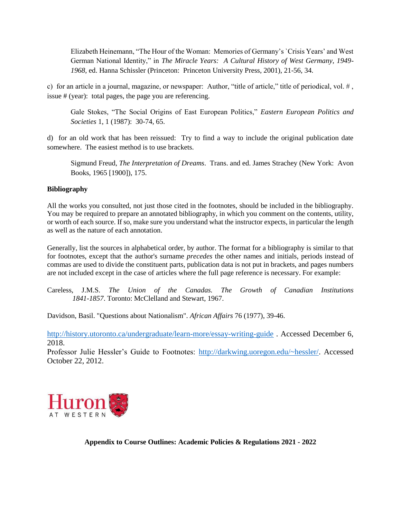Elizabeth Heinemann, "The Hour of the Woman: Memories of Germany's `Crisis Years' and West German National Identity," in *The Miracle Years: A Cultural History of West Germany, 1949- 1968*, ed. Hanna Schissler (Princeton: Princeton University Press, 2001), 21-56, 34.

c) for an article in a journal, magazine, or newspaper: Author, "title of article," title of periodical, vol. # , issue # (year): total pages, the page you are referencing.

Gale Stokes, "The Social Origins of East European Politics," *Eastern European Politics and Societies* 1, 1 (1987): 30-74, 65.

d) for an old work that has been reissued: Try to find a way to include the original publication date somewhere. The easiest method is to use brackets.

Sigmund Freud, *The Interpretation of Dreams*. Trans. and ed. James Strachey (New York: Avon Books, 1965 [1900]), 175.

## **Bibliography**

All the works you consulted, not just those cited in the footnotes, should be included in the bibliography. You may be required to prepare an annotated bibliography, in which you comment on the contents, utility, or worth of each source. If so, make sure you understand what the instructor expects, in particular the length as well as the nature of each annotation.

Generally, list the sources in alphabetical order, by author. The format for a bibliography is similar to that for footnotes, except that the author's surname *precedes* the other names and initials, periods instead of commas are used to divide the constituent parts, publication data is not put in brackets, and pages numbers are not included except in the case of articles where the full page reference is necessary. For example:

Careless, J.M.S. *The Union of the Canadas. The Growth of Canadian Institutions 1841-1857*. Toronto: McClelland and Stewart, 1967.

Davidson, Basil. "Questions about Nationalism". *African Affairs* 76 (1977), 39-46.

<http://history.utoronto.ca/undergraduate/learn-more/essay-writing-guide> . Accessed December 6, 2018.

Professor Julie Hessler's Guide to Footnotes: [http://darkwing.uoregon.edu/~hessler/.](http://darkwing.uoregon.edu/~hessler/) Accessed October 22, 2012.



**Appendix to Course Outlines: Academic Policies & Regulations 2021 - 2022**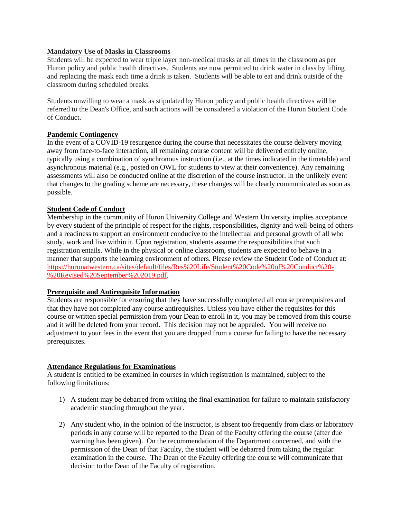### **Mandatory Use of Masks in Classrooms**

Students will be expected to wear triple layer non-medical masks at all times in the classroom as per Huron policy and public health directives. Students are now permitted to drink water in class by lifting and replacing the mask each time a drink is taken. Students will be able to eat and drink outside of the classroom during scheduled breaks.

Students unwilling to wear a mask as stipulated by Huron policy and public health directives will be referred to the Dean's Office, and such actions will be considered a violation of the Huron Student Code of Conduct.

#### **Pandemic Contingency**

In the event of a COVID-19 resurgence during the course that necessitates the course delivery moving away from face-to-face interaction, all remaining course content will be delivered entirely online, typically using a combination of synchronous instruction (i.e., at the times indicated in the timetable) and asynchronous material (e.g., posted on OWL for students to view at their convenience). Any remaining assessments will also be conducted online at the discretion of the course instructor. In the unlikely event that changes to the grading scheme are necessary, these changes will be clearly communicated as soon as possible.

#### **Student Code of Conduct**

Membership in the community of Huron University College and Western University implies acceptance by every student of the principle of respect for the rights, responsibilities, dignity and well-being of others and a readiness to support an environment conducive to the intellectual and personal growth of all who study, work and live within it. Upon registration, students assume the responsibilities that such registration entails. While in the physical or online classroom, students are expected to behave in a manner that supports the learning environment of others. Please review the Student Code of Conduct at: [https://huronatwestern.ca/sites/default/files/Res%20Life/Student%20Code%20of%20Conduct%20-](https://huronatwestern.ca/sites/default/files/Res%20Life/Student%20Code%20of%20Conduct%20-%20Revised%20September%202019.pdf) [%20Revised%20September%202019.pdf.](https://huronatwestern.ca/sites/default/files/Res%20Life/Student%20Code%20of%20Conduct%20-%20Revised%20September%202019.pdf)

### **Prerequisite and Antirequisite Information**

Students are responsible for ensuring that they have successfully completed all course prerequisites and that they have not completed any course antirequisites. Unless you have either the requisites for this course or written special permission from your Dean to enroll in it, you may be removed from this course and it will be deleted from your record. This decision may not be appealed. You will receive no adjustment to your fees in the event that you are dropped from a course for failing to have the necessary prerequisites.

#### **Attendance Regulations for Examinations**

A student is entitled to be examined in courses in which registration is maintained, subject to the following limitations:

- 1) A student may be debarred from writing the final examination for failure to maintain satisfactory academic standing throughout the year.
- 2) Any student who, in the opinion of the instructor, is absent too frequently from class or laboratory periods in any course will be reported to the Dean of the Faculty offering the course (after due warning has been given). On the recommendation of the Department concerned, and with the permission of the Dean of that Faculty, the student will be debarred from taking the regular examination in the course. The Dean of the Faculty offering the course will communicate that decision to the Dean of the Faculty of registration.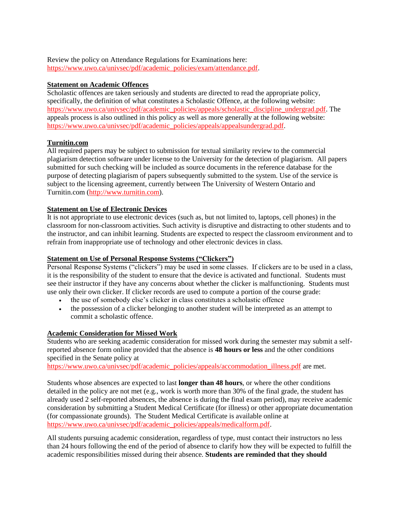Review the policy on Attendance Regulations for Examinations here: [https://www.uwo.ca/univsec/pdf/academic\\_policies/exam/attendance.pdf.](https://www.uwo.ca/univsec/pdf/academic_policies/exam/attendance.pdf)

### **Statement on Academic Offences**

Scholastic offences are taken seriously and students are directed to read the appropriate policy, specifically, the definition of what constitutes a Scholastic Offence, at the following website: [https://www.uwo.ca/univsec/pdf/academic\\_policies/appeals/scholastic\\_discipline\\_undergrad.pdf.](https://www.uwo.ca/univsec/pdf/academic_policies/appeals/scholastic_discipline_undergrad.pdf) The appeals process is also outlined in this policy as well as more generally at the following website: [https://www.uwo.ca/univsec/pdf/academic\\_policies/appeals/appealsundergrad.pdf.](https://www.uwo.ca/univsec/pdf/academic_policies/appeals/appealsundergrad.pdf)

## **Turnitin.com**

All required papers may be subject to submission for textual similarity review to the commercial plagiarism detection software under license to the University for the detection of plagiarism. All papers submitted for such checking will be included as source documents in the reference database for the purpose of detecting plagiarism of papers subsequently submitted to the system. Use of the service is subject to the licensing agreement, currently between The University of Western Ontario and Turnitin.com [\(http://www.turnitin.com\)](http://www.turnitin.com/).

### **Statement on Use of Electronic Devices**

It is not appropriate to use electronic devices (such as, but not limited to, laptops, cell phones) in the classroom for non-classroom activities. Such activity is disruptive and distracting to other students and to the instructor, and can inhibit learning. Students are expected to respect the classroom environment and to refrain from inappropriate use of technology and other electronic devices in class.

### **Statement on Use of Personal Response Systems ("Clickers")**

Personal Response Systems ("clickers") may be used in some classes. If clickers are to be used in a class, it is the responsibility of the student to ensure that the device is activated and functional. Students must see their instructor if they have any concerns about whether the clicker is malfunctioning. Students must use only their own clicker. If clicker records are used to compute a portion of the course grade:

- the use of somebody else's clicker in class constitutes a scholastic offence
- the possession of a clicker belonging to another student will be interpreted as an attempt to commit a scholastic offence.

### **Academic Consideration for Missed Work**

Students who are seeking academic consideration for missed work during the semester may submit a selfreported absence form online provided that the absence is **48 hours or less** and the other conditions specified in the Senate policy at

[https://www.uwo.ca/univsec/pdf/academic\\_policies/appeals/accommodation\\_illness.pdf](https://www.uwo.ca/univsec/pdf/academic_policies/appeals/accommodation_illness.pdf) are met.

Students whose absences are expected to last **longer than 48 hours**, or where the other conditions detailed in the policy are not met (e.g., work is worth more than 30% of the final grade, the student has already used 2 self-reported absences, the absence is during the final exam period), may receive academic consideration by submitting a Student Medical Certificate (for illness) or other appropriate documentation (for compassionate grounds). The Student Medical Certificate is available online at [https://www.uwo.ca/univsec/pdf/academic\\_policies/appeals/medicalform.pdf.](https://www.uwo.ca/univsec/pdf/academic_policies/appeals/medicalform.pdf)

All students pursuing academic consideration, regardless of type, must contact their instructors no less than 24 hours following the end of the period of absence to clarify how they will be expected to fulfill the academic responsibilities missed during their absence. **Students are reminded that they should**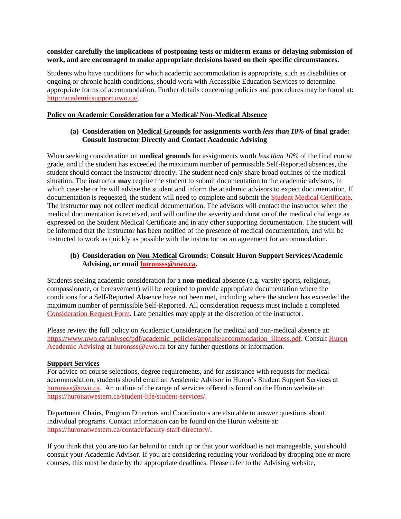### **consider carefully the implications of postponing tests or midterm exams or delaying submission of work, and are encouraged to make appropriate decisions based on their specific circumstances.**

Students who have conditions for which academic accommodation is appropriate, such as disabilities or ongoing or chronic health conditions, should work with Accessible Education Services to determine appropriate forms of accommodation. Further details concerning policies and procedures may be found at: [http://academicsupport.uwo.ca/.](http://academicsupport.uwo.ca/)

### **Policy on Academic Consideration for a Medical/ Non-Medical Absence**

### **(a) Consideration on Medical Grounds for assignments worth** *less than 10%* **of final grade: Consult Instructor Directly and Contact Academic Advising**

When seeking consideration on **medical grounds** for assignments worth *less than 10%* of the final course grade, and if the student has exceeded the maximum number of permissible Self-Reported absences, the student should contact the instructor directly. The student need only share broad outlines of the medical situation. The instructor **may** require the student to submit documentation to the academic advisors, in which case she or he will advise the student and inform the academic advisors to expect documentation. If documentation is requested, the student will need to complete and submit the [Student Medical Certificate.](https://www.uwo.ca/univsec/pdf/academic_policies/appeals/medicalform_15JUN.pdf) The instructor may not collect medical documentation. The advisors will contact the instructor when the medical documentation is received, and will outline the severity and duration of the medical challenge as expressed on the Student Medical Certificate and in any other supporting documentation. The student will be informed that the instructor has been notified of the presence of medical documentation, and will be instructed to work as quickly as possible with the instructor on an agreement for accommodation.

### **(b) Consideration on Non-Medical Grounds: Consult Huron Support Services/Academic Advising, or email [huronsss@uwo.ca.](mailto:huronsss@uwo.ca)**

Students seeking academic consideration for a **non-medical** absence (e.g. varsity sports, religious, compassionate, or bereavement) will be required to provide appropriate documentation where the conditions for a Self-Reported Absence have not been met, including where the student has exceeded the maximum number of permissible Self-Reported. All consideration requests must include a completed [Consideration Request Form.](https://huronatwestern.ca/sites/default/files/Forms/Academic%20Consideration%20Request%20Form%202020.pdf) Late penalties may apply at the discretion of the instructor.

Please review the full policy on Academic Consideration for medical and non-medical absence at: [https://www.uwo.ca/univsec/pdf/academic\\_policies/appeals/accommodation\\_illness.pdf.](https://www.uwo.ca/univsec/pdf/academic_policies/appeals/accommodation_illness.pdf) Consult [Huron](https://huronatwestern.ca/student-life/student-services/academic-advising/)  [Academic Advising](https://huronatwestern.ca/student-life/student-services/academic-advising/) at [huronsss@uwo.ca](mailto:huronsss@uwo.ca) for any further questions or information.

### **Support Services**

For advice on course selections, degree requirements, and for assistance with requests for medical accommodation, students should email an Academic Advisor in Huron's Student Support Services at [huronsss@uwo.ca.](mailto:huronsss@uwo.ca) An outline of the range of services offered is found on the Huron website at: [https://huronatwestern.ca/student-life/student-services/.](https://huronatwestern.ca/student-life/student-services/)

Department Chairs, Program Directors and Coordinators are also able to answer questions about individual programs. Contact information can be found on the Huron website at: [https://huronatwestern.ca/contact/faculty-staff-directory/.](https://huronatwestern.ca/contact/faculty-staff-directory/)

If you think that you are too far behind to catch up or that your workload is not manageable, you should consult your Academic Advisor. If you are considering reducing your workload by dropping one or more courses, this must be done by the appropriate deadlines. Please refer to the Advising website,